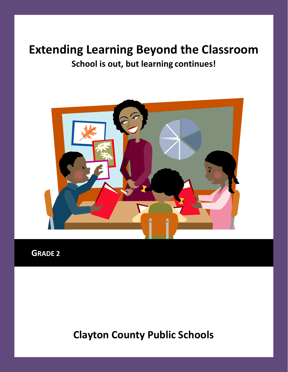## **Extending Learning Beyond the Classroom School is out, but learning continues!**



**GRADE 2**

**Clayton County Public Schools**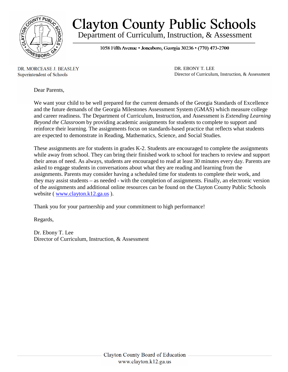

## **Clayton County Public Schools** Department of Curriculum, Instruction, & Assessment

1058 Fifth Avenue • Jonesboro, Georgia 30236 • (770) 473-2700

DR. MORCEASE J. BEASLEY Superintendent of Schools

DR. EBONY T. LEE Director of Curriculum, Instruction, & Assessment

Dear Parents,

We want your child to be well prepared for the current demands of the Georgia Standards of Excellence and the future demands of the Georgia Milestones Assessment System (GMAS) which measure college and career readiness. The Department of Curriculum, Instruction, and Assessment is *Extending Learning Beyond the Classroom* by providing academic assignments for students to complete to support and reinforce their learning. The assignments focus on standards-based practice that reflects what students are expected to demonstrate in Reading, Mathematics, Science, and Social Studies.

These assignments are for students in grades K-2. Students are encouraged to complete the assignments while away from school. They can bring their finished work to school for teachers to review and support their areas of need. As always, students are encouraged to read at least 30 minutes every day. Parents are asked to engage students in conversations about what they are reading and learning from the assignments. Parents may consider having a scheduled time for students to complete their work, and they may assist students – as needed - with the completion of assignments. Finally, an electronic version of the assignments and additional online resources can be found on the Clayton County Public Schools website ( $\frac{www.class/12.ga.us}{www.class/12.ga.us}$ ).

Thank you for your partnership and your commitment to high performance!

Regards,

Dr. Ebony T. Lee Director of Curriculum, Instruction, & Assessment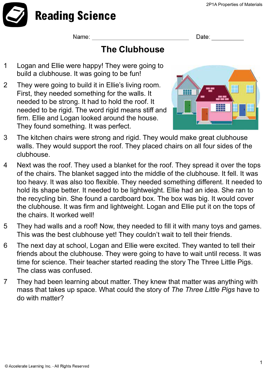

Name:

Date:

## **The Clubhouse**

- 1 Logan and Ellie were happy! They were going to build a clubhouse. It was going to be fun!
- 2 They were going to build it in Ellie's living room. First, they needed something for the walls. It needed to be strong. It had to hold the roof. It needed to be rigid. The word rigid means stiff and firm. Ellie and Logan looked around the house. They found something. It was perfect.



- 3 The kitchen chairs were strong and rigid. They would make great clubhouse walls. They would support the roof. They placed chairs on all four sides of the clubhouse.
- 4 Next was the roof. They used a blanket for the roof. They spread it over the tops of the chairs. The blanket sagged into the middle of the clubhouse. It fell. It was too heavy. It was also too flexible. They needed something different. It needed to hold its shape better. It needed to be lightweight. Ellie had an idea. She ran to the recycling bin. She found a cardboard box. The box was big. It would cover the clubhouse. It was firm and lightweight. Logan and Ellie put it on the tops of the chairs. It worked well!
- 5 They had walls and a roof! Now, they needed to fill it with many toys and games. This was the best clubhouse yet! They couldn't wait to tell their friends.
- 6 The next day at school, Logan and Ellie were excited. They wanted to tell their friends about the clubhouse. They were going to have to wait until recess. It was time for science. Their teacher started reading the story The Three Little Pigs. The class was confused.
- 7 They had been learning about matter. They knew that matter was anything with mass that takes up space. What could the story of *The Three Little Pigs* have to do with matter?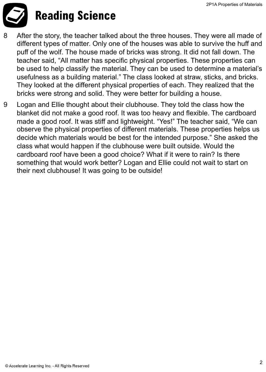

## **Reading Science**

- 8 After the story, the teacher talked about the three houses. They were all made of different types of matter. Only one of the houses was able to survive the huff and puff of the wolf. The house made of bricks was strong. It did not fall down. The teacher said, "All matter has specific physical properties. These properties can be used to help classify the material. They can be used to determine a material's usefulness as a building material." The class looked at straw, sticks, and bricks. They looked at the different physical properties of each. They realized that the bricks were strong and solid. They were better for building a house.
- 9 Logan and Ellie thought about their clubhouse. They told the class how the blanket did not make a good roof. It was too heavy and flexible. The cardboard made a good roof. It was stiff and lightweight. "Yes!" The teacher said, "We can observe the physical properties of different materials. These properties helps us decide which materials would be best for the intended purpose." She asked the class what would happen if the clubhouse were built outside. Would the cardboard roof have been a good choice? What if it were to rain? Is there something that would work better? Logan and Ellie could not wait to start on their next clubhouse! It was going to be outside!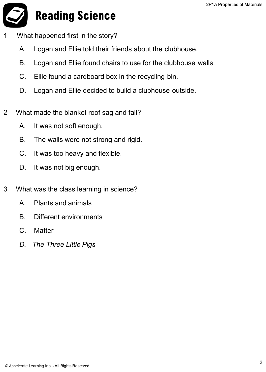

- What happened first in the story?
	- A. Logan and Ellie told their friends about the clubhouse.
	- B. Logan and Ellie found chairs to use for the clubhouse walls.
	- C. Ellie found a cardboard box in the recycling bin.
	- D. Logan and Ellie decided to build a clubhouse outside.
- 2 What made the blanket roof sag and fall?
	- A. It was not soft enough.
	- B. The walls were not strong and rigid.
	- C. It was too heavy and flexible.
	- D. It was not big enough.
- 3 What was the class learning in science?
	- A. Plants and animals
	- B. Different environments
	- C. Matter
	- *D. The Three Little Pigs*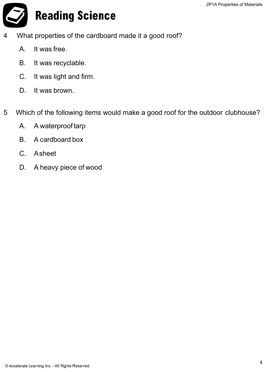**Reading Science** 

- 4 What properties of the cardboard made it a good roof?
	- A. It was free.
	- B. It was recyclable.
	- C. It was light and firm.
	- D. It was brown.
- 5 Which of the following items would make a good roof for the outdoor clubhouse?
	- A. A waterproof tarp
	- B. A cardboard box
	- C. Asheet
	- D. A heavy piece of wood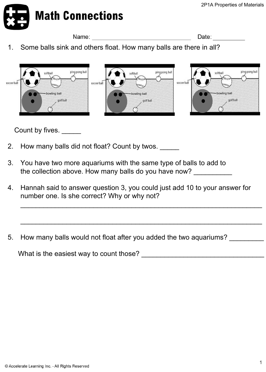

Name: will be a series of the contract of the contract of the contract of the contract of the contract of the contract of the contract of the contract of the contract of the contract of the contract of the contract of the

Date:

1. Some balls sink and others float. How many balls are there in all?



Count by fives. \_\_\_\_\_

- 2. How many balls did not float? Count by twos.
- 3. You have two more aquariums with the same type of balls to add to the collection above. How many balls do you have now?
- 4. Hannah said to answer question 3, you could just add 10 to your answer for number one. Is she correct? Why or why not?

\_\_\_\_\_\_\_\_\_\_\_\_\_\_\_\_\_\_\_\_\_\_\_\_\_\_\_\_\_\_\_\_\_\_\_\_\_\_\_\_\_\_\_\_\_\_\_\_\_\_\_\_\_\_\_\_\_\_\_\_\_\_\_

\_\_\_\_\_\_\_\_\_\_\_\_\_\_\_\_\_\_\_\_\_\_\_\_\_\_\_\_\_\_\_\_\_\_\_\_\_\_\_\_\_\_\_\_\_\_\_\_\_\_\_\_\_\_\_\_\_\_\_\_\_\_\_

5. How many balls would not float after you added the two aquariums?

What is the easiest way to count those? **What is the easiest way to count those?**